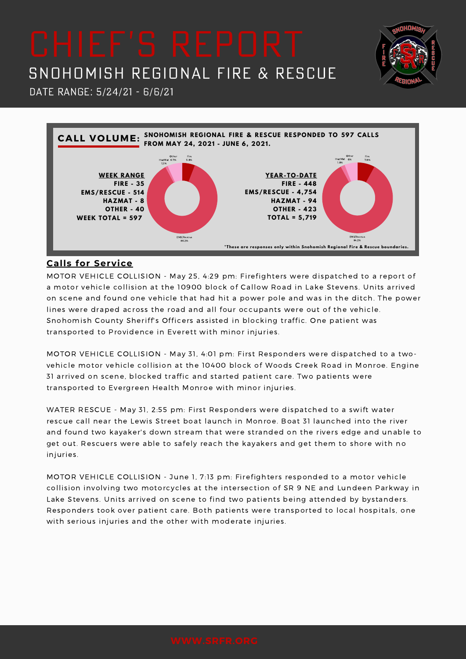**NHITIA** 





### **Calls for Service**

MOTOR VEHICLE COLLISION - May 25, 4:29 pm: Firefighters were dispatched to a report of a motor vehicle collision at the 10900 block of Callow Road in Lake Stevens. Units arrived on scene and found one vehicle that had hit a power pole and was in the ditch. The power lines were draped across the road and all four occupants were out of the vehicle. Snohomish County Sheriff's Officers assisted in blocking traffic. One patient was transported to Providence in Everett with minor injuries.

MOTOR VEHICLE COLLISION - May 31, 4:01 pm: First Responders were dispatched to a twovehicle motor vehicle collision at the 10400 block of Woods Creek Road in Monroe. Engine 31 arrived on scene, blocked traffic and started patient care. Two patients were transported to Evergreen Health Monroe with minor injuries.

WATER RESCUE - May 31, 2:55 pm: First Responders were dispatched to a swift water rescue call near the Lewis Street boat launch in Monroe. Boat 31 launched into the river and found two kayaker's down stream that were stranded on the rivers edge and unable to get out. Rescuers were able to safely reach the kayakers and get them to shore with no injuries.

MOTOR VEHICLE COLLISION - June 1, 7:13 pm: Firefighters responded to a motor vehicle collision involving two motorcycles at the intersection of SR 9 NE and Lundeen Parkway in Lake Stevens. Units arrived on scene to find two patients being attended by bystanders. Responders took over patient care. Both patients were transported to local hospitals, one with serious injuries and the other with moderate injuries.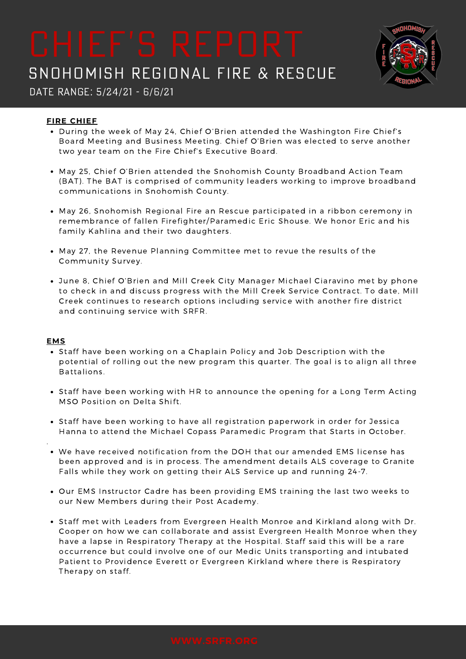

Date Range: 5/24/21 - 6/6/21

### **FIRE CHIEF**

- During the week of May 24, Chief O'Brien attended the Washington Fire Chief's Board Meeting and Business Meeting. Chief O'Brien was elected to serve another two year team on the Fire Chief's Executive Board.
- May 25, Chief O'Brien attended the Snohomish County Broadband Action Team (BAT). The BAT is comprised of community leaders working to improve broadband communications in Snohomish County.
- May 26, Snohomish Regional Fire an Rescue participated in a ribbon ceremony in remembrance of fallen Firefighter/Paramedic Eric Shouse. We honor Eric and his family Kahlina and their two daughters.
- May 27, the Revenue Planning Committee met to revue the results of the Community Survey.
- June 8, Chief O'Brien and Mill Creek City Manager Michael Ciaravino met by phone to check in and discuss progress with the Mill Creek Service Contract. To date, Mill Creek continues to research options including service with another fire district and continuing service with SRFR.

#### **EMS**

.

- Staff have been working on a Chaplain Policy and Job Description with the potential of rolling out the new program this quarter. The goal is to align all three Battalions.
- Staff have been working with HR to announce the opening for a Long Term Acting MSO Position on Delta Shift.
- Staff have been working to have all registration paperwork in order for Jessica Hanna to attend the Michael Copass Paramedic Program that Starts in October.
- We have received notification from the DOH that our amended EMS license has been approved and is in process. The amendment details ALS coverage to Granite Falls while they work on getting their ALS Service up and running 24-7.
- Our EMS Instructor Cadre has been providing EMS training the last two weeks to our New Members during their Post Academy.
- Staff met with Leaders from Evergreen Health Monroe and Kirkland along with Dr. Cooper on how we can collaborate and assist Evergreen Health Monroe when they have a lapse in Respiratory Therapy at the Hospital. Staff said this will be a rare occurrence but could involve one of our Medic Units transporting and intubated Patient to Providence Everett or Evergreen Kirkland where there is Respiratory Therapy on staff.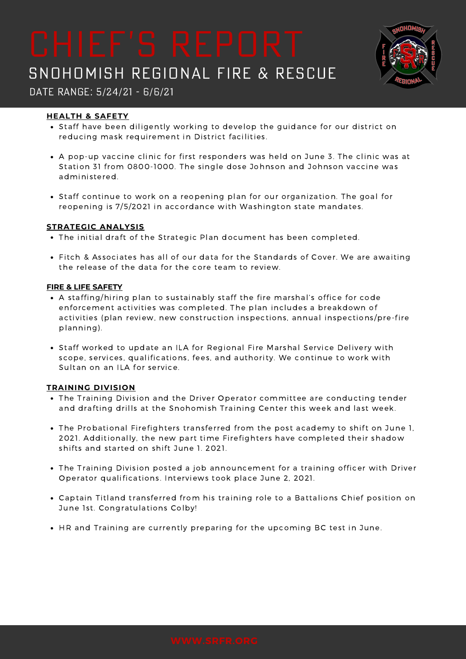

## Date Range: 5/24/21 - 6/6/21

### **HEALTH & SAFETY**

- Staff have been diligently working to develop the guidance for our district on reducing mask requirement in District facilities.
- A pop-up vaccine clinic for first responders was held on June 3. The clinic was at Station 31 from 0800-1000. The single dose Johnson and Johnson vaccine was administered.
- Staff continue to work on a reopening plan for our organization. The goal for reopening is 7/5/2021 in accordance with Washington state mandates.

#### **STRATEGIC ANALYSIS**

- The initial draft of the Strategic Plan document has been completed.
- Fitch & Associates has all of our data for the Standards of Cover. We are awaiting the release of the data for the core team to review.

#### **FIRE & LIFE SAFETY**

- A staffing/hiring plan to sustainably staff the fire marshal's office for code enforcement activities was completed. The plan includes a breakdown of activities (plan review, new construction inspections, annual inspections/pre-fire planning).
- Staff worked to update an ILA for Regional Fire Marshal Service Delivery with scope, services, qualifications, fees, and authority. We continue to work with Sultan on an ILA for service.

#### **TRAINING DIVISION**

- The Training Division and the Driver Operator committee are conducting tender and drafting drills at the Snohomish Training Center this week and last week.
- The Probational Firefighters transferred from the post academy to shift on June 1, 2021. Additionally, the new part time Firefighters have completed their shadow shifts and started on shift June 1. 2021.
- The Training Division posted a job announcement for a training officer with Driver Operator qualifications. Interviews took place June 2, 2021.
- Captain Titland transferred from his training role to a Battalions Chief position on June 1st. Congratulations Colby!
- HR and Training are currently preparing for the upcoming BC test in June.